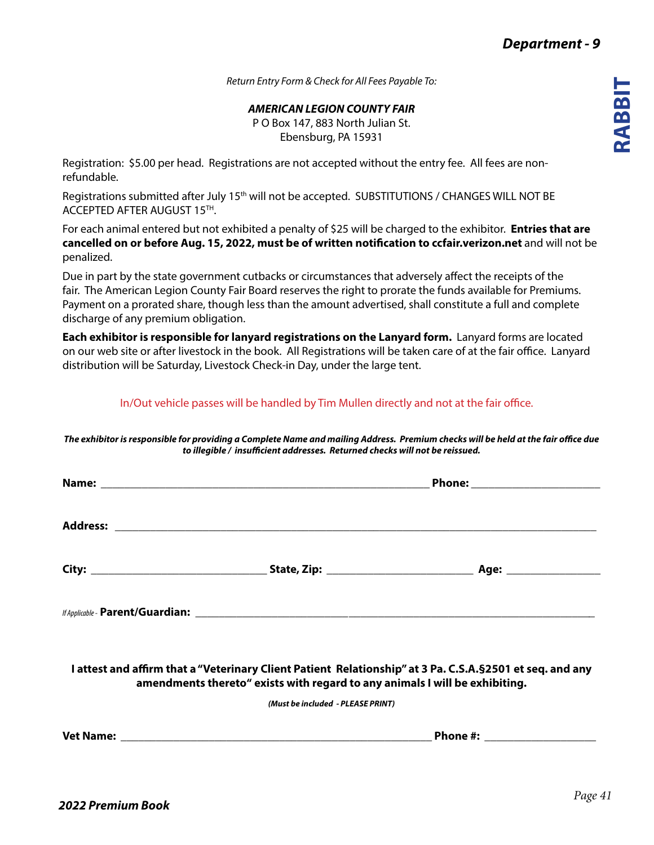*Return Entry Form & Check for All Fees Payable To:*

*AMERICAN LEGION COUNTY FAIR*

P O Box 147, 883 North Julian St. Ebensburg, PA 15931

Registration: \$5.00 per head. Registrations are not accepted without the entry fee. All fees are nonrefundable.

Registrations submitted after July 15<sup>th</sup> will not be accepted. SUBSTITUTIONS / CHANGES WILL NOT BE ACCEPTED AFTER AUGUST 15TH.

For each animal entered but not exhibited a penalty of \$25 will be charged to the exhibitor. **Entries that are cancelled on or before Aug. 15, 2022, must be of written notification to ccfair.verizon.net** and will not be penalized.

Due in part by the state government cutbacks or circumstances that adversely affect the receipts of the fair. The American Legion County Fair Board reserves the right to prorate the funds available for Premiums. Payment on a prorated share, though less than the amount advertised, shall constitute a full and complete discharge of any premium obligation.

**Each exhibitor is responsible for lanyard registrations on the Lanyard form.** Lanyard forms are located on our web site or after livestock in the book. All Registrations will be taken care of at the fair office. Lanyard distribution will be Saturday, Livestock Check-in Day, under the large tent.

In/Out vehicle passes will be handled by Tim Mullen directly and not at the fair office.

*The exhibitor is responsible for providing a Complete Name and mailing Address. Premium checks will be held at the fair office due to illegible / insufficient addresses. Returned checks will not be reissued.*

|                                                                                                                                                                                           | Phone: ________________________ |
|-------------------------------------------------------------------------------------------------------------------------------------------------------------------------------------------|---------------------------------|
|                                                                                                                                                                                           |                                 |
|                                                                                                                                                                                           |                                 |
|                                                                                                                                                                                           |                                 |
| I attest and affirm that a "Veterinary Client Patient Relationship" at 3 Pa. C.S.A. § 2501 et seq. and any<br>amendments thereto" exists with regard to any animals I will be exhibiting. |                                 |
| (Must be included - PLEASE PRINT)                                                                                                                                                         |                                 |
|                                                                                                                                                                                           |                                 |
|                                                                                                                                                                                           |                                 |